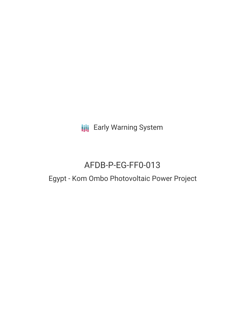**III** Early Warning System

# AFDB-P-EG-FF0-013

# Egypt - Kom Ombo Photovoltaic Power Project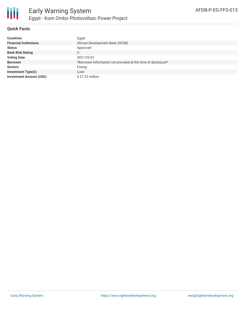

## **Quick Facts**

| <b>Countries</b>               | Egypt                                                         |
|--------------------------------|---------------------------------------------------------------|
| <b>Financial Institutions</b>  | African Development Bank (AFDB)                               |
| <b>Status</b>                  | Approved                                                      |
| <b>Bank Risk Rating</b>        | U                                                             |
| <b>Voting Date</b>             | 2021-03-03                                                    |
| <b>Borrower</b>                | *Borrower information not provided at the time of disclosure* |
| <b>Sectors</b>                 | Energy                                                        |
| <b>Investment Type(s)</b>      | Loan                                                          |
| <b>Investment Amount (USD)</b> | \$27.22 million                                               |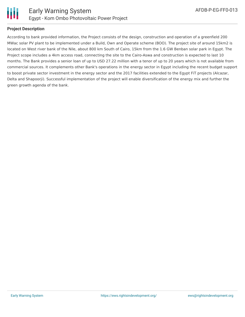

### **Project Description**

According to bank provided information, the Project consists of the design, construction and operation of a greenfield 200 MWac solar PV plant to be implemented under a Build, Own and Operate scheme (BOO). The project site of around 15km2 is located on West river bank of the Nile, about 800 km South of Cairo, 15km from the 1.6 GW Benban solar park in Egypt. The Project scope includes a 4km access road, connecting the site to the Cairo-Aswa and construction is expected to last 10 months. The Bank provides a senior loan of up to USD 27.22 million with a tenor of up to 20 years which is not available from commercial sources. It complements other Bank's operations in the energy sector in Egypt including the recent budget support to boost private sector investment in the energy sector and the 2017 facilities extended to the Egypt FiT projects (Alcazar, Delta and Shapoorji). Successful implementation of the project will enable diversification of the energy mix and further the green growth agenda of the bank.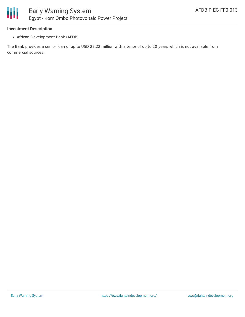#### **Investment Description**

African Development Bank (AFDB)

The Bank provides a senior loan of up to USD 27.22 million with a tenor of up to 20 years which is not available from commercial sources.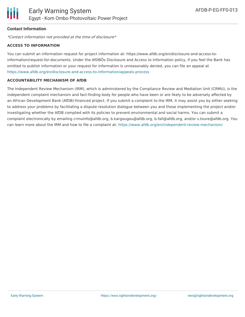# **Contact Information**

\*Contact information not provided at the time of disclosure\*

#### **ACCESS TO INFORMATION**

You can submit an information request for project information at: https://www.afdb.org/en/disclosure-and-access-toinformation/request-for-documents. Under the AfDBÕs Disclosure and Access to Information policy, if you feel the Bank has omitted to publish information or your request for information is unreasonably denied, you can file an appeal at <https://www.afdb.org/en/disclosure-and-access-to-information/appeals-process>

### **ACCOUNTABILITY MECHANISM OF AfDB**

The Independent Review Mechanism (IRM), which is administered by the Compliance Review and Mediation Unit (CRMU), is the independent complaint mechanism and fact-finding body for people who have been or are likely to be adversely affected by an African Development Bank (AfDB)-financed project. If you submit a complaint to the IRM, it may assist you by either seeking to address your problems by facilitating a dispute resolution dialogue between you and those implementing the project and/or investigating whether the AfDB complied with its policies to prevent environmental and social harms. You can submit a complaint electronically by emailing crmuinfo@afdb.org, b.kargougou@afdb.org, b.fall@afdb.org, and/or s.toure@afdb.org. You can learn more about the IRM and how to file a complaint at: <https://www.afdb.org/en/independent-review-mechanism/>